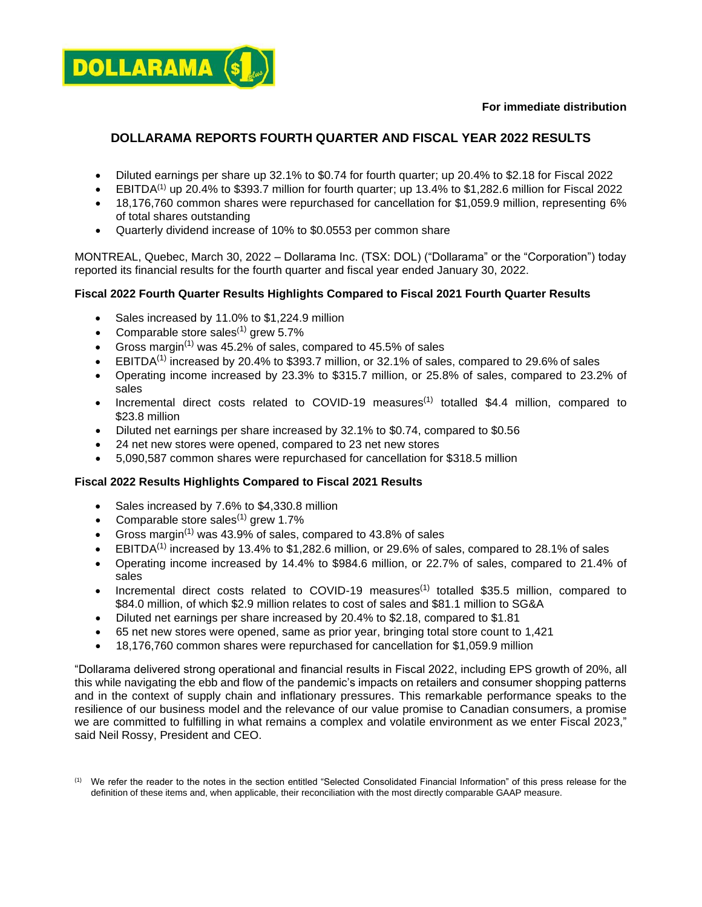

## **For immediate distribution**

## **DOLLARAMA REPORTS FOURTH QUARTER AND FISCAL YEAR 2022 RESULTS**

- Diluted earnings per share up 32.1% to \$0.74 for fourth quarter; up 20.4% to \$2.18 for Fiscal 2022
- EBITDA(1) up 20.4% to \$393.7 million for fourth quarter; up 13.4% to \$1,282.6 million for Fiscal 2022
- 18,176,760 common shares were repurchased for cancellation for \$1,059.9 million, representing 6% of total shares outstanding
- Quarterly dividend increase of 10% to \$0.0553 per common share

MONTREAL, Quebec, March 30, 2022 – Dollarama Inc. (TSX: DOL) ("Dollarama" or the "Corporation") today reported its financial results for the fourth quarter and fiscal year ended January 30, 2022.

#### **Fiscal 2022 Fourth Quarter Results Highlights Compared to Fiscal 2021 Fourth Quarter Results**

- Sales increased by 11.0% to \$1,224.9 million
- Comparable store sales<sup>(1)</sup> grew 5.7%
- Gross margin<sup>(1)</sup> was 45.2% of sales, compared to 45.5% of sales
- $EBITDA<sup>(1)</sup>$  increased by 20.4% to \$393.7 million, or 32.1% of sales, compared to 29.6% of sales
- Operating income increased by 23.3% to \$315.7 million, or 25.8% of sales, compared to 23.2% of sales
- Incremental direct costs related to COVID-19 measures<sup>(1)</sup> totalled \$4.4 million, compared to \$23.8 million
- Diluted net earnings per share increased by 32.1% to \$0.74, compared to \$0.56
- 24 net new stores were opened, compared to 23 net new stores
- 5,090,587 common shares were repurchased for cancellation for \$318.5 million

## **Fiscal 2022 Results Highlights Compared to Fiscal 2021 Results**

- Sales increased by 7.6% to \$4,330.8 million
- Comparable store sales<sup>(1)</sup> grew 1.7%
- Gross margin<sup> $(1)$ </sup> was 43.9% of sales, compared to 43.8% of sales
- EBITDA(1) increased by 13.4% to \$1,282.6 million, or 29.6% of sales, compared to 28.1% of sales
- Operating income increased by 14.4% to \$984.6 million, or 22.7% of sales, compared to 21.4% of sales
- Incremental direct costs related to COVID-19 measures<sup>(1)</sup> totalled \$35.5 million, compared to \$84.0 million, of which \$2.9 million relates to cost of sales and \$81.1 million to SG&A
- Diluted net earnings per share increased by 20.4% to \$2.18, compared to \$1.81
- 65 net new stores were opened, same as prior year, bringing total store count to 1,421
- 18,176,760 common shares were repurchased for cancellation for \$1,059.9 million

"Dollarama delivered strong operational and financial results in Fiscal 2022, including EPS growth of 20%, all this while navigating the ebb and flow of the pandemic's impacts on retailers and consumer shopping patterns and in the context of supply chain and inflationary pressures. This remarkable performance speaks to the resilience of our business model and the relevance of our value promise to Canadian consumers, a promise we are committed to fulfilling in what remains a complex and volatile environment as we enter Fiscal 2023," said Neil Rossy, President and CEO.

<sup>(1)</sup> We refer the reader to the notes in the section entitled "Selected Consolidated Financial Information" of this press release for the definition of these items and, when applicable, their reconciliation with the most directly comparable GAAP measure.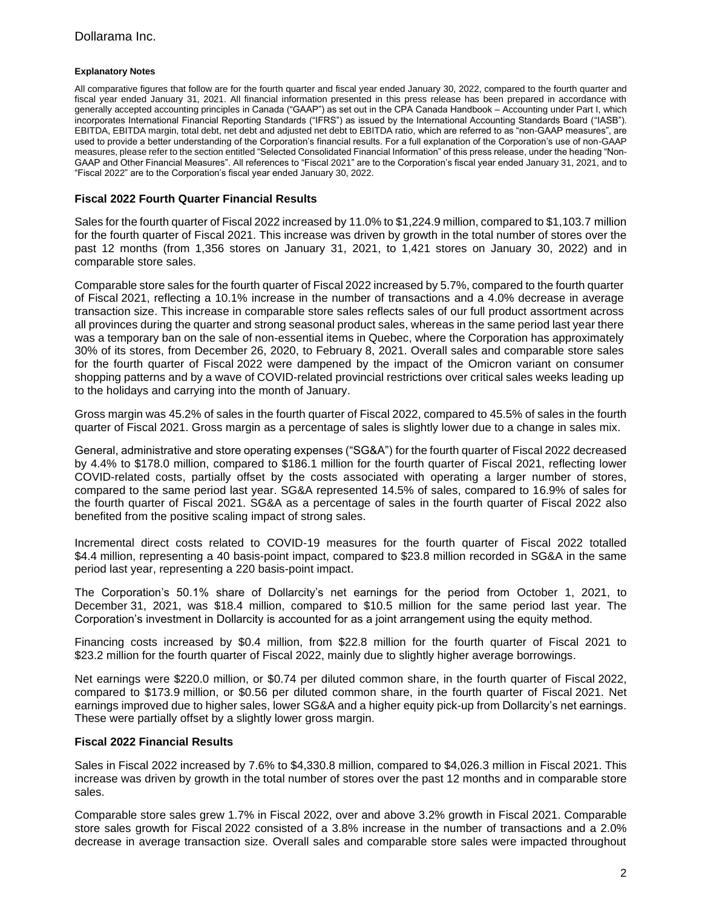#### **Explanatory Notes**

All comparative figures that follow are for the fourth quarter and fiscal year ended January 30, 2022, compared to the fourth quarter and fiscal year ended January 31, 2021. All financial information presented in this press release has been prepared in accordance with generally accepted accounting principles in Canada ("GAAP") as set out in the CPA Canada Handbook – Accounting under Part I, which incorporates International Financial Reporting Standards ("IFRS") as issued by the International Accounting Standards Board ("IASB"). EBITDA, EBITDA margin, total debt, net debt and adjusted net debt to EBITDA ratio, which are referred to as "non-GAAP measures", are used to provide a better understanding of the Corporation's financial results. For a full explanation of the Corporation's use of non-GAAP measures, please refer to the section entitled "Selected Consolidated Financial Information" of this press release, under the heading "Non-GAAP and Other Financial Measures". All references to "Fiscal 2021" are to the Corporation's fiscal year ended January 31, 2021, and to "Fiscal 2022" are to the Corporation's fiscal year ended January 30, 2022.

## **Fiscal 2022 Fourth Quarter Financial Results**

Sales for the fourth quarter of Fiscal 2022 increased by 11.0% to \$1,224.9 million, compared to \$1,103.7 million for the fourth quarter of Fiscal 2021. This increase was driven by growth in the total number of stores over the past 12 months (from 1,356 stores on January 31, 2021, to 1,421 stores on January 30, 2022) and in comparable store sales.

Comparable store sales for the fourth quarter of Fiscal 2022 increased by 5.7%, compared to the fourth quarter of Fiscal 2021, reflecting a 10.1% increase in the number of transactions and a 4.0% decrease in average transaction size. This increase in comparable store sales reflects sales of our full product assortment across all provinces during the quarter and strong seasonal product sales, whereas in the same period last year there was a temporary ban on the sale of non-essential items in Quebec, where the Corporation has approximately 30% of its stores, from December 26, 2020, to February 8, 2021. Overall sales and comparable store sales for the fourth quarter of Fiscal 2022 were dampened by the impact of the Omicron variant on consumer shopping patterns and by a wave of COVID-related provincial restrictions over critical sales weeks leading up to the holidays and carrying into the month of January.

Gross margin was 45.2% of sales in the fourth quarter of Fiscal 2022, compared to 45.5% of sales in the fourth quarter of Fiscal 2021. Gross margin as a percentage of sales is slightly lower due to a change in sales mix.

General, administrative and store operating expenses ("SG&A") for the fourth quarter of Fiscal 2022 decreased by 4.4% to \$178.0 million, compared to \$186.1 million for the fourth quarter of Fiscal 2021, reflecting lower COVID-related costs, partially offset by the costs associated with operating a larger number of stores, compared to the same period last year. SG&A represented 14.5% of sales, compared to 16.9% of sales for the fourth quarter of Fiscal 2021. SG&A as a percentage of sales in the fourth quarter of Fiscal 2022 also benefited from the positive scaling impact of strong sales.

Incremental direct costs related to COVID-19 measures for the fourth quarter of Fiscal 2022 totalled \$4.4 million, representing a 40 basis-point impact, compared to \$23.8 million recorded in SG&A in the same period last year, representing a 220 basis-point impact.

The Corporation's 50.1% share of Dollarcity's net earnings for the period from October 1, 2021, to December 31, 2021, was \$18.4 million, compared to \$10.5 million for the same period last year. The Corporation's investment in Dollarcity is accounted for as a joint arrangement using the equity method.

Financing costs increased by \$0.4 million, from \$22.8 million for the fourth quarter of Fiscal 2021 to \$23.2 million for the fourth quarter of Fiscal 2022, mainly due to slightly higher average borrowings.

Net earnings were \$220.0 million, or \$0.74 per diluted common share, in the fourth quarter of Fiscal 2022, compared to \$173.9 million, or \$0.56 per diluted common share, in the fourth quarter of Fiscal 2021. Net earnings improved due to higher sales, lower SG&A and a higher equity pick-up from Dollarcity's net earnings. These were partially offset by a slightly lower gross margin.

#### **Fiscal 2022 Financial Results**

Sales in Fiscal 2022 increased by 7.6% to \$4,330.8 million, compared to \$4,026.3 million in Fiscal 2021. This increase was driven by growth in the total number of stores over the past 12 months and in comparable store sales.

Comparable store sales grew 1.7% in Fiscal 2022, over and above 3.2% growth in Fiscal 2021. Comparable store sales growth for Fiscal 2022 consisted of a 3.8% increase in the number of transactions and a 2.0% decrease in average transaction size. Overall sales and comparable store sales were impacted throughout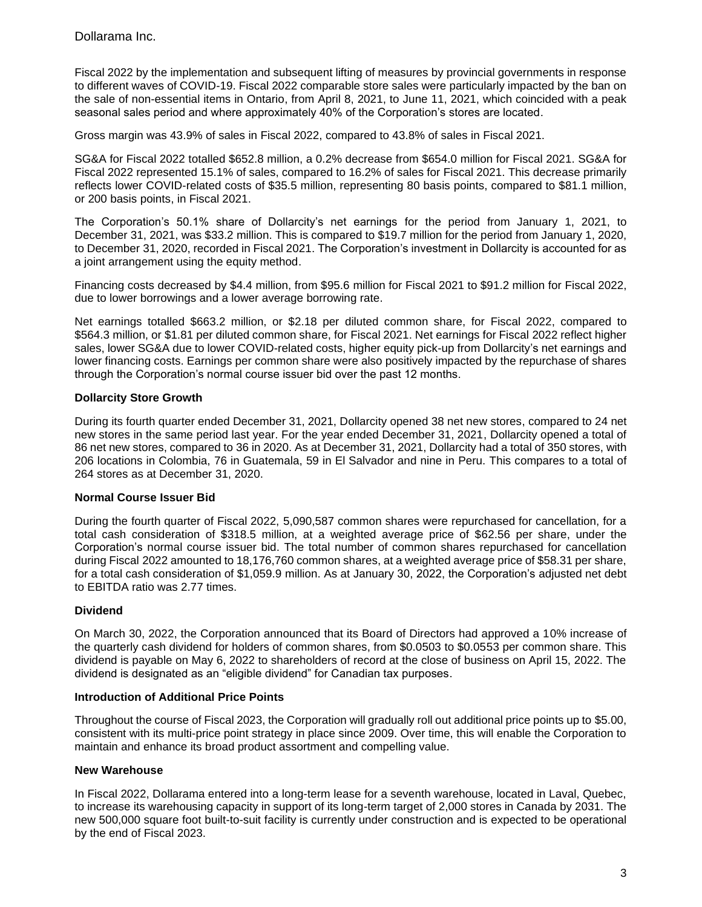Fiscal 2022 by the implementation and subsequent lifting of measures by provincial governments in response to different waves of COVID-19. Fiscal 2022 comparable store sales were particularly impacted by the ban on the sale of non-essential items in Ontario, from April 8, 2021, to June 11, 2021, which coincided with a peak seasonal sales period and where approximately 40% of the Corporation's stores are located.

Gross margin was 43.9% of sales in Fiscal 2022, compared to 43.8% of sales in Fiscal 2021.

SG&A for Fiscal 2022 totalled \$652.8 million, a 0.2% decrease from \$654.0 million for Fiscal 2021. SG&A for Fiscal 2022 represented 15.1% of sales, compared to 16.2% of sales for Fiscal 2021. This decrease primarily reflects lower COVID-related costs of \$35.5 million, representing 80 basis points, compared to \$81.1 million, or 200 basis points, in Fiscal 2021.

The Corporation's 50.1% share of Dollarcity's net earnings for the period from January 1, 2021, to December 31, 2021, was \$33.2 million. This is compared to \$19.7 million for the period from January 1, 2020, to December 31, 2020, recorded in Fiscal 2021. The Corporation's investment in Dollarcity is accounted for as a joint arrangement using the equity method.

Financing costs decreased by \$4.4 million, from \$95.6 million for Fiscal 2021 to \$91.2 million for Fiscal 2022, due to lower borrowings and a lower average borrowing rate.

Net earnings totalled \$663.2 million, or \$2.18 per diluted common share, for Fiscal 2022, compared to \$564.3 million, or \$1.81 per diluted common share, for Fiscal 2021. Net earnings for Fiscal 2022 reflect higher sales, lower SG&A due to lower COVID-related costs, higher equity pick-up from Dollarcity's net earnings and lower financing costs. Earnings per common share were also positively impacted by the repurchase of shares through the Corporation's normal course issuer bid over the past 12 months.

## **Dollarcity Store Growth**

During its fourth quarter ended December 31, 2021, Dollarcity opened 38 net new stores, compared to 24 net new stores in the same period last year. For the year ended December 31, 2021, Dollarcity opened a total of 86 net new stores, compared to 36 in 2020. As at December 31, 2021, Dollarcity had a total of 350 stores, with 206 locations in Colombia, 76 in Guatemala, 59 in El Salvador and nine in Peru. This compares to a total of 264 stores as at December 31, 2020.

## **Normal Course Issuer Bid**

During the fourth quarter of Fiscal 2022, 5,090,587 common shares were repurchased for cancellation, for a total cash consideration of \$318.5 million, at a weighted average price of \$62.56 per share, under the Corporation's normal course issuer bid. The total number of common shares repurchased for cancellation during Fiscal 2022 amounted to 18,176,760 common shares, at a weighted average price of \$58.31 per share, for a total cash consideration of \$1,059.9 million. As at January 30, 2022, the Corporation's adjusted net debt to EBITDA ratio was 2.77 times.

## **Dividend**

On March 30, 2022, the Corporation announced that its Board of Directors had approved a 10% increase of the quarterly cash dividend for holders of common shares, from \$0.0503 to \$0.0553 per common share. This dividend is payable on May 6, 2022 to shareholders of record at the close of business on April 15, 2022. The dividend is designated as an "eligible dividend" for Canadian tax purposes.

## **Introduction of Additional Price Points**

Throughout the course of Fiscal 2023, the Corporation will gradually roll out additional price points up to \$5.00, consistent with its multi-price point strategy in place since 2009. Over time, this will enable the Corporation to maintain and enhance its broad product assortment and compelling value.

## **New Warehouse**

In Fiscal 2022, Dollarama entered into a long-term lease for a seventh warehouse, located in Laval, Quebec, to increase its warehousing capacity in support of its long-term target of 2,000 stores in Canada by 2031. The new 500,000 square foot built-to-suit facility is currently under construction and is expected to be operational by the end of Fiscal 2023.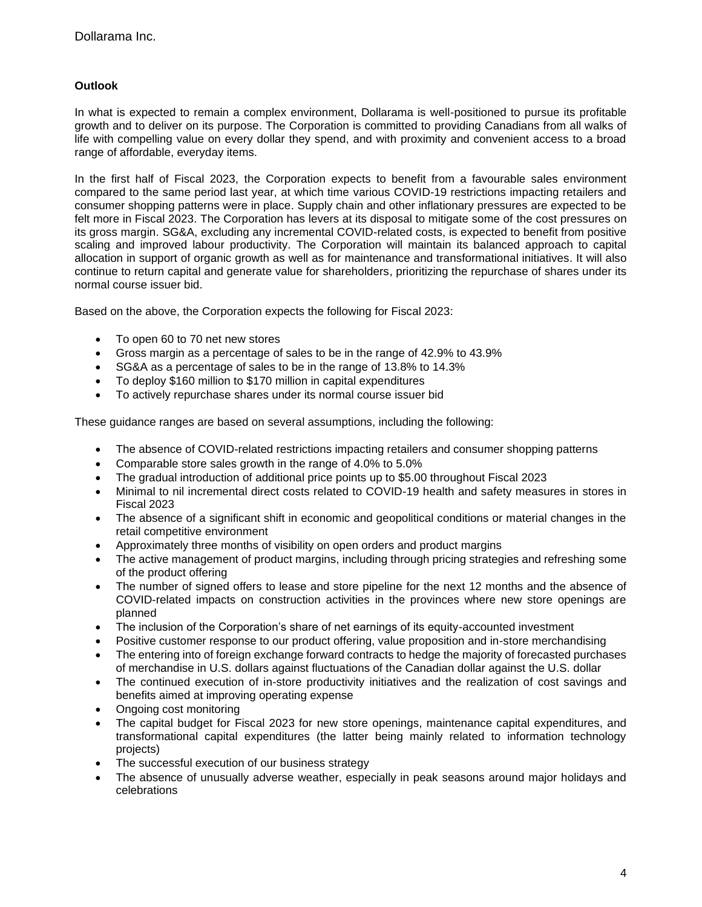## **Outlook**

In what is expected to remain a complex environment, Dollarama is well-positioned to pursue its profitable growth and to deliver on its purpose. The Corporation is committed to providing Canadians from all walks of life with compelling value on every dollar they spend, and with proximity and convenient access to a broad range of affordable, everyday items.

In the first half of Fiscal 2023, the Corporation expects to benefit from a favourable sales environment compared to the same period last year, at which time various COVID-19 restrictions impacting retailers and consumer shopping patterns were in place. Supply chain and other inflationary pressures are expected to be felt more in Fiscal 2023. The Corporation has levers at its disposal to mitigate some of the cost pressures on its gross margin. SG&A, excluding any incremental COVID-related costs, is expected to benefit from positive scaling and improved labour productivity. The Corporation will maintain its balanced approach to capital allocation in support of organic growth as well as for maintenance and transformational initiatives. It will also continue to return capital and generate value for shareholders, prioritizing the repurchase of shares under its normal course issuer bid.

Based on the above, the Corporation expects the following for Fiscal 2023:

- To open 60 to 70 net new stores
- Gross margin as a percentage of sales to be in the range of 42.9% to 43.9%
- SG&A as a percentage of sales to be in the range of 13.8% to 14.3%
- To deploy \$160 million to \$170 million in capital expenditures
- To actively repurchase shares under its normal course issuer bid

These guidance ranges are based on several assumptions, including the following:

- The absence of COVID-related restrictions impacting retailers and consumer shopping patterns
- Comparable store sales growth in the range of 4.0% to 5.0%
- The gradual introduction of additional price points up to \$5.00 throughout Fiscal 2023
- Minimal to nil incremental direct costs related to COVID-19 health and safety measures in stores in Fiscal 2023
- The absence of a significant shift in economic and geopolitical conditions or material changes in the retail competitive environment
- Approximately three months of visibility on open orders and product margins
- The active management of product margins, including through pricing strategies and refreshing some of the product offering
- The number of signed offers to lease and store pipeline for the next 12 months and the absence of COVID-related impacts on construction activities in the provinces where new store openings are planned
- The inclusion of the Corporation's share of net earnings of its equity-accounted investment
- Positive customer response to our product offering, value proposition and in-store merchandising
- The entering into of foreign exchange forward contracts to hedge the majority of forecasted purchases of merchandise in U.S. dollars against fluctuations of the Canadian dollar against the U.S. dollar
- The continued execution of in-store productivity initiatives and the realization of cost savings and benefits aimed at improving operating expense
- Ongoing cost monitoring
- The capital budget for Fiscal 2023 for new store openings, maintenance capital expenditures, and transformational capital expenditures (the latter being mainly related to information technology projects)
- The successful execution of our business strategy
- The absence of unusually adverse weather, especially in peak seasons around major holidays and celebrations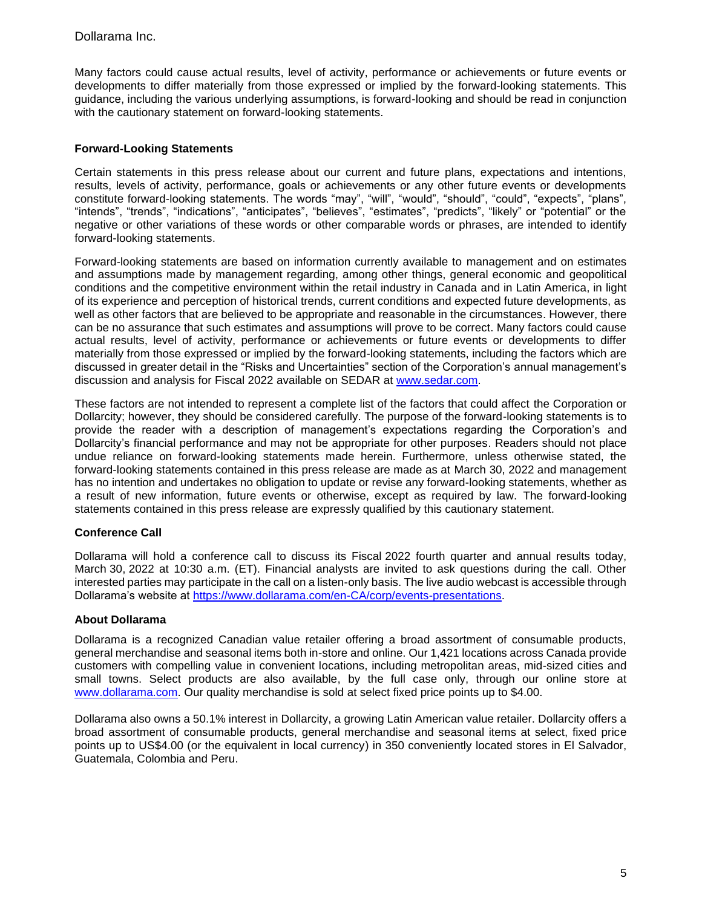Many factors could cause actual results, level of activity, performance or achievements or future events or developments to differ materially from those expressed or implied by the forward-looking statements. This guidance, including the various underlying assumptions, is forward-looking and should be read in conjunction with the cautionary statement on forward-looking statements.

## **Forward-Looking Statements**

Certain statements in this press release about our current and future plans, expectations and intentions, results, levels of activity, performance, goals or achievements or any other future events or developments constitute forward-looking statements. The words "may", "will", "would", "should", "could", "expects", "plans", "intends", "trends", "indications", "anticipates", "believes", "estimates", "predicts", "likely" or "potential" or the negative or other variations of these words or other comparable words or phrases, are intended to identify forward-looking statements.

Forward-looking statements are based on information currently available to management and on estimates and assumptions made by management regarding, among other things, general economic and geopolitical conditions and the competitive environment within the retail industry in Canada and in Latin America, in light of its experience and perception of historical trends, current conditions and expected future developments, as well as other factors that are believed to be appropriate and reasonable in the circumstances. However, there can be no assurance that such estimates and assumptions will prove to be correct. Many factors could cause actual results, level of activity, performance or achievements or future events or developments to differ materially from those expressed or implied by the forward-looking statements, including the factors which are discussed in greater detail in the "Risks and Uncertainties" section of the Corporation's annual management's discussion and analysis for Fiscal 2022 available on SEDAR at [www.sedar.com.](http://www.sedar.com/DisplayCompanyDocuments.do?lang=EN&issuerNo=00028876)

These factors are not intended to represent a complete list of the factors that could affect the Corporation or Dollarcity; however, they should be considered carefully. The purpose of the forward-looking statements is to provide the reader with a description of management's expectations regarding the Corporation's and Dollarcity's financial performance and may not be appropriate for other purposes. Readers should not place undue reliance on forward-looking statements made herein. Furthermore, unless otherwise stated, the forward-looking statements contained in this press release are made as at March 30, 2022 and management has no intention and undertakes no obligation to update or revise any forward-looking statements, whether as a result of new information, future events or otherwise, except as required by law. The forward-looking statements contained in this press release are expressly qualified by this cautionary statement.

## **Conference Call**

Dollarama will hold a conference call to discuss its Fiscal 2022 fourth quarter and annual results today, March 30, 2022 at 10:30 a.m. (ET). Financial analysts are invited to ask questions during the call. Other interested parties may participate in the call on a listen-only basis. The live audio webcast is accessible through Dollarama's website at [https://www.dollarama.com/en-CA/corp/events-presentations.](https://www.dollarama.com/en-CA/corp/events-presentations)

## **About Dollarama**

Dollarama is a recognized Canadian value retailer offering a broad assortment of consumable products, general merchandise and seasonal items both in-store and online. Our 1,421 locations across Canada provide customers with compelling value in convenient locations, including metropolitan areas, mid-sized cities and small towns. Select products are also available, by the full case only, through our online store at [www.dollarama.com.](http://www.dollarama.com/) Our quality merchandise is sold at select fixed price points up to \$4.00.

Dollarama also owns a 50.1% interest in Dollarcity, a growing Latin American value retailer. Dollarcity offers a broad assortment of consumable products, general merchandise and seasonal items at select, fixed price points up to US\$4.00 (or the equivalent in local currency) in 350 conveniently located stores in El Salvador, Guatemala, Colombia and Peru.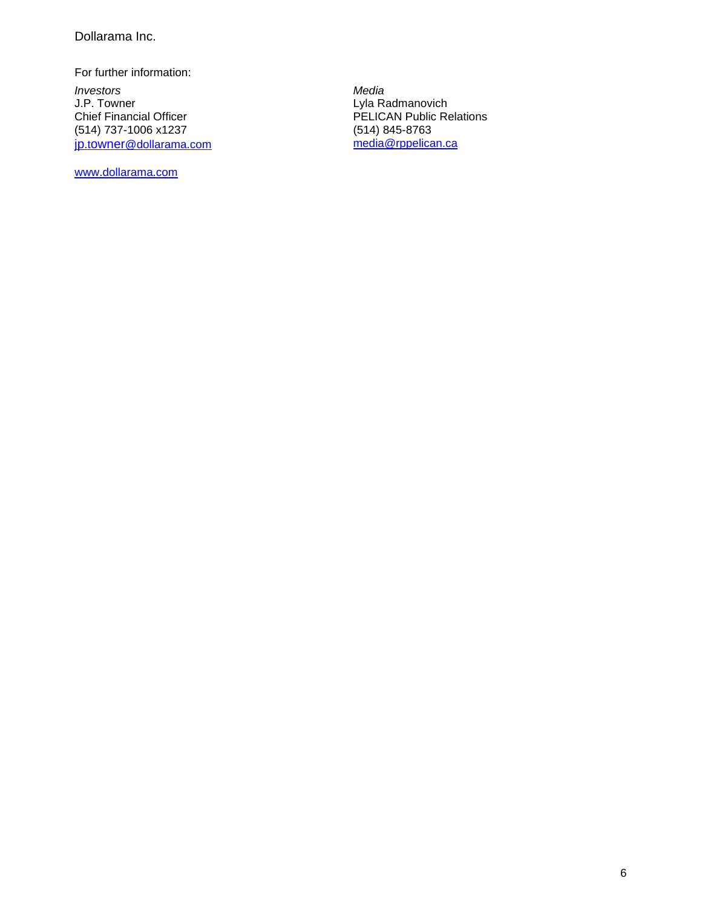For further information:

*Investors Media* J.P. Towner Chief Financial Officer (514) 737-1006 x1237 jp.t[owner](mailto:jp.towner@dollarama.com)[@dollarama.com](mailto:jp.towner@dollarama.com)

[www.dollarama.com](http://www.dollarama.com/)

Lyla Radmanovich PELICAN Public Relations (514) 845-8763 [media@rppelican.ca](mailto:media@rppelican.ca)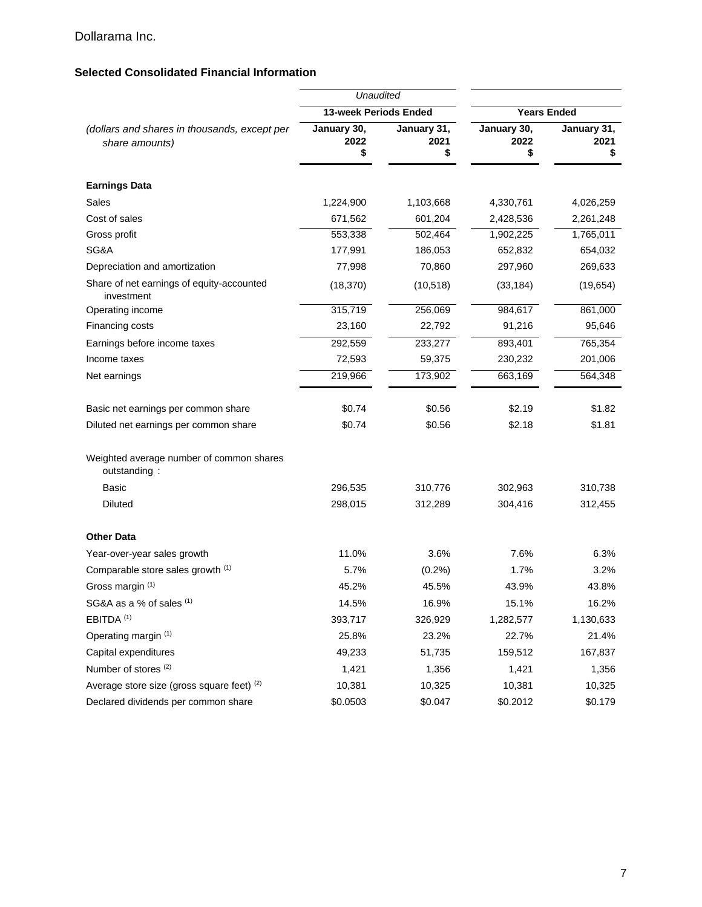# **Selected Consolidated Financial Information**

|                                                                | <b>Unaudited</b>          |                           |                           |                           |
|----------------------------------------------------------------|---------------------------|---------------------------|---------------------------|---------------------------|
| 13-week Periods Ended                                          |                           |                           | <b>Years Ended</b>        |                           |
| (dollars and shares in thousands, except per<br>share amounts) | January 30,<br>2022<br>\$ | January 31,<br>2021<br>\$ | January 30,<br>2022<br>\$ | January 31,<br>2021<br>\$ |
| <b>Earnings Data</b>                                           |                           |                           |                           |                           |
| Sales                                                          | 1,224,900                 | 1,103,668                 | 4,330,761                 | 4,026,259                 |
| Cost of sales                                                  | 671,562                   | 601,204                   | 2,428,536                 | 2,261,248                 |
| Gross profit                                                   | 553,338                   | 502,464                   | 1,902,225                 | 1,765,011                 |
| SG&A                                                           | 177,991                   | 186,053                   | 652,832                   | 654,032                   |
| Depreciation and amortization                                  | 77,998                    | 70,860                    | 297,960                   | 269,633                   |
| Share of net earnings of equity-accounted<br>investment        | (18, 370)                 | (10, 518)                 | (33, 184)                 | (19, 654)                 |
| Operating income                                               | 315,719                   | 256,069                   | 984,617                   | 861,000                   |
| Financing costs                                                | 23,160                    | 22,792                    | 91,216                    | 95,646                    |
| Earnings before income taxes                                   | 292,559                   | 233,277                   | 893,401                   | 765,354                   |
| Income taxes                                                   | 72,593                    | 59,375                    | 230,232                   | 201,006                   |
| Net earnings                                                   | 219,966                   | 173,902                   | 663,169                   | 564,348                   |
| Basic net earnings per common share                            | \$0.74                    | \$0.56                    | \$2.19                    | \$1.82                    |
| Diluted net earnings per common share                          | \$0.74                    | \$0.56                    | \$2.18                    | \$1.81                    |
| Weighted average number of common shares<br>outstanding:       |                           |                           |                           |                           |
| Basic                                                          | 296,535                   | 310,776                   | 302,963                   | 310,738                   |
| <b>Diluted</b>                                                 | 298,015                   | 312,289                   | 304,416                   | 312,455                   |
| <b>Other Data</b>                                              |                           |                           |                           |                           |
| Year-over-year sales growth                                    | 11.0%                     | 3.6%                      | 7.6%                      | 6.3%                      |
| Comparable store sales growth (1)                              | 5.7%                      | (0.2%)                    | 1.7%                      | 3.2%                      |
| Gross margin (1)                                               | 45.2%                     | 45.5%                     | 43.9%                     | 43.8%                     |
| SG&A as a % of sales (1)                                       | 14.5%                     | 16.9%                     | 15.1%                     | 16.2%                     |
| EBITDA <sup>(1)</sup>                                          | 393,717                   | 326,929                   | 1,282,577                 | 1,130,633                 |
| Operating margin (1)                                           | 25.8%                     | 23.2%                     | 22.7%                     | 21.4%                     |
| Capital expenditures                                           | 49,233                    | 51,735                    | 159,512                   | 167,837                   |
| Number of stores <sup>(2)</sup>                                | 1,421                     | 1,356                     | 1,421                     | 1,356                     |
| Average store size (gross square feet) (2)                     | 10,381                    | 10,325                    | 10,381                    | 10,325                    |
| Declared dividends per common share                            | \$0.0503                  | \$0.047                   | \$0.2012                  | \$0.179                   |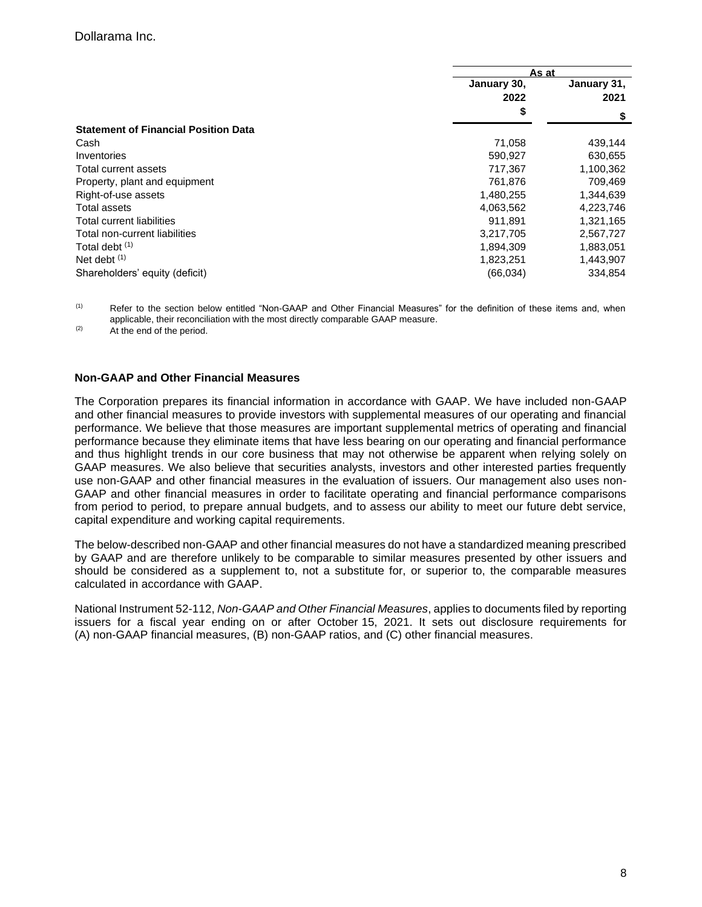|                                             | As at       |             |  |
|---------------------------------------------|-------------|-------------|--|
|                                             | January 30, | January 31, |  |
|                                             | 2022        | 2021        |  |
|                                             | \$          |             |  |
| <b>Statement of Financial Position Data</b> |             |             |  |
| Cash                                        | 71,058      | 439,144     |  |
| Inventories                                 | 590,927     | 630,655     |  |
| Total current assets                        | 717,367     | 1,100,362   |  |
| Property, plant and equipment               | 761,876     | 709,469     |  |
| Right-of-use assets                         | 1,480,255   | 1,344,639   |  |
| Total assets                                | 4,063,562   | 4,223,746   |  |
| Total current liabilities                   | 911,891     | 1,321,165   |  |
| Total non-current liabilities               | 3,217,705   | 2,567,727   |  |
| Total debt <sup>(1)</sup>                   | 1,894,309   | 1,883,051   |  |
| Net debt $(1)$                              | 1,823,251   | 1,443,907   |  |
| Shareholders' equity (deficit)              | (66, 034)   | 334.854     |  |

(1) Refer to the section below entitled "Non-GAAP and Other Financial Measures" for the definition of these items and, when applicable, their reconciliation with the most directly comparable GAAP measure.

(2) At the end of the period.

#### **Non-GAAP and Other Financial Measures**

The Corporation prepares its financial information in accordance with GAAP. We have included non-GAAP and other financial measures to provide investors with supplemental measures of our operating and financial performance. We believe that those measures are important supplemental metrics of operating and financial performance because they eliminate items that have less bearing on our operating and financial performance and thus highlight trends in our core business that may not otherwise be apparent when relying solely on GAAP measures. We also believe that securities analysts, investors and other interested parties frequently use non-GAAP and other financial measures in the evaluation of issuers. Our management also uses non-GAAP and other financial measures in order to facilitate operating and financial performance comparisons from period to period, to prepare annual budgets, and to assess our ability to meet our future debt service, capital expenditure and working capital requirements.

The below-described non-GAAP and other financial measures do not have a standardized meaning prescribed by GAAP and are therefore unlikely to be comparable to similar measures presented by other issuers and should be considered as a supplement to, not a substitute for, or superior to, the comparable measures calculated in accordance with GAAP.

National Instrument 52-112, *Non-GAAP and Other Financial Measures*, applies to documents filed by reporting issuers for a fiscal year ending on or after October 15, 2021. It sets out disclosure requirements for (A) non-GAAP financial measures, (B) non-GAAP ratios, and (C) other financial measures.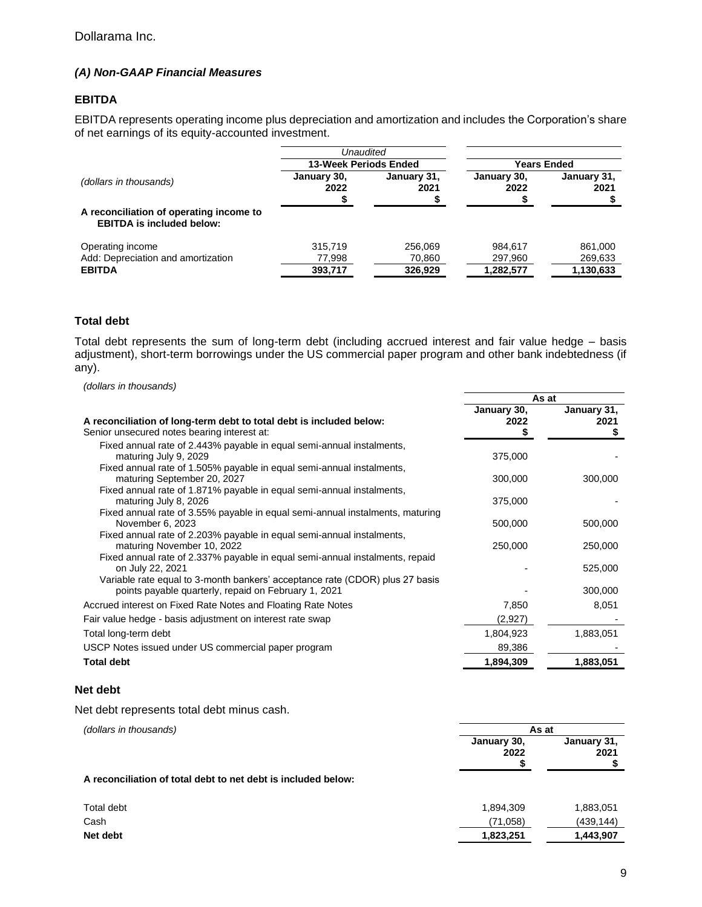## *(A) Non-GAAP Financial Measures*

## **EBITDA**

EBITDA represents operating income plus depreciation and amortization and includes the Corporation's share of net earnings of its equity-accounted investment.

|                                                                             | Unaudited                    |                     |                     |                     |
|-----------------------------------------------------------------------------|------------------------------|---------------------|---------------------|---------------------|
|                                                                             | <b>13-Week Periods Ended</b> |                     | <b>Years Ended</b>  |                     |
| (dollars in thousands)                                                      | January 30,<br>2022          | January 31,<br>2021 | January 30,<br>2022 | January 31,<br>2021 |
| A reconciliation of operating income to<br><b>EBITDA</b> is included below: |                              |                     |                     |                     |
| Operating income                                                            | 315,719                      | 256.069             | 984.617             | 861,000             |
| Add: Depreciation and amortization                                          | 77.998                       | 70,860              | 297,960             | 269,633             |
| <b>EBITDA</b>                                                               | 393,717                      | 326,929             | 1,282,577           | 1,130,633           |

#### **Total debt**

Total debt represents the sum of long-term debt (including accrued interest and fair value hedge – basis adjustment), short-term borrowings under the US commercial paper program and other bank indebtedness (if any).

*(dollars in thousands)*

|                                                                                                                                                                         | As at               |                          |
|-------------------------------------------------------------------------------------------------------------------------------------------------------------------------|---------------------|--------------------------|
| A reconciliation of long-term debt to total debt is included below:<br>Senior unsecured notes bearing interest at:                                                      | January 30,<br>2022 | January 31,<br>2021<br>S |
| Fixed annual rate of 2.443% payable in equal semi-annual instalments,<br>maturing July 9, 2029<br>Fixed annual rate of 1.505% payable in equal semi-annual instalments, | 375,000             |                          |
| maturing September 20, 2027<br>Fixed annual rate of 1.871% payable in equal semi-annual instalments,                                                                    | 300,000             | 300,000                  |
| maturing July 8, 2026<br>Fixed annual rate of 3.55% payable in equal semi-annual instalments, maturing                                                                  | 375,000             |                          |
| November 6, 2023<br>Fixed annual rate of 2.203% payable in equal semi-annual instalments,                                                                               | 500,000             | 500,000                  |
| maturing November 10, 2022<br>Fixed annual rate of 2.337% payable in equal semi-annual instalments, repaid                                                              | 250,000             | 250,000                  |
| on July 22, 2021<br>Variable rate equal to 3-month bankers' acceptance rate (CDOR) plus 27 basis                                                                        |                     | 525,000                  |
| points payable quarterly, repaid on February 1, 2021                                                                                                                    |                     | 300,000                  |
| Accrued interest on Fixed Rate Notes and Floating Rate Notes                                                                                                            | 7,850               | 8,051                    |
| Fair value hedge - basis adjustment on interest rate swap                                                                                                               | (2,927)             |                          |
| Total long-term debt                                                                                                                                                    | 1,804,923           | 1,883,051                |
| USCP Notes issued under US commercial paper program                                                                                                                     | 89,386              |                          |
| <b>Total debt</b>                                                                                                                                                       | 1,894,309           | 1,883,051                |

#### **Net debt**

Net debt represents total debt minus cash.

| (dollars in thousands)                                        | As at               |                     |  |
|---------------------------------------------------------------|---------------------|---------------------|--|
|                                                               | January 30,<br>2022 | January 31,<br>2021 |  |
| A reconciliation of total debt to net debt is included below: |                     |                     |  |
| Total debt                                                    | 1,894,309           | 1,883,051           |  |
| Cash                                                          | (71, 058)           | (439,144)           |  |
| Net debt                                                      | 1,823,251           | 1,443,907           |  |